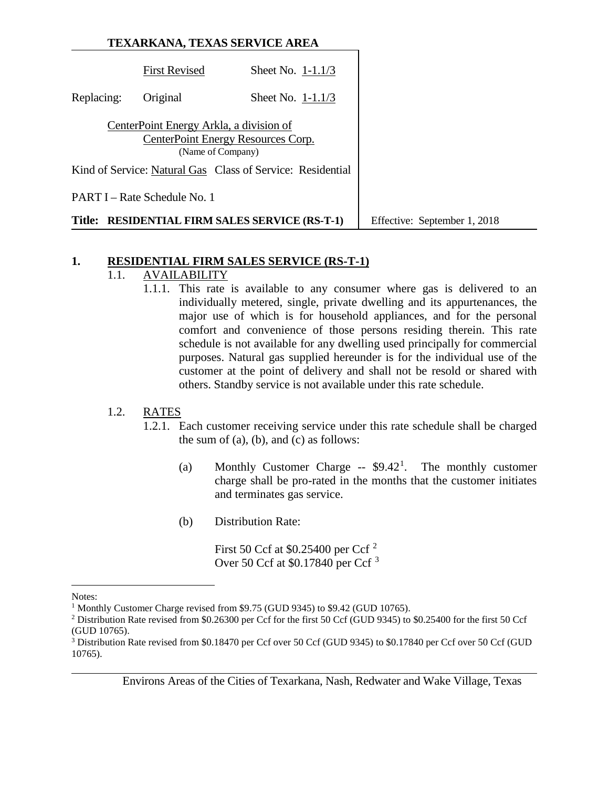|               | TEXARKANA, TEXAS SERVICE AREA                                |                                                            |                              |
|---------------|--------------------------------------------------------------|------------------------------------------------------------|------------------------------|
|               | <b>First Revised</b>                                         | Sheet No. $1-1.1/3$                                        |                              |
| Replacing:    | Original                                                     | Sheet No. 1-1.1/3                                          |                              |
|               | CenterPoint Energy Arkla, a division of<br>(Name of Company) | CenterPoint Energy Resources Corp.                         |                              |
|               |                                                              | Kind of Service: Natural Gas Class of Service: Residential |                              |
|               | PART I – Rate Schedule No. 1                                 |                                                            |                              |
| <b>Title:</b> |                                                              | <b>RESIDENTIAL FIRM SALES SERVICE (RS-T-1)</b>             | Effective: September 1, 2018 |

# **1. RESIDENTIAL FIRM SALES SERVICE (RS-T-1)**

# 1.1. AVAILABILITY

1.1.1. This rate is available to any consumer where gas is delivered to an individually metered, single, private dwelling and its appurtenances, the major use of which is for household appliances, and for the personal comfort and convenience of those persons residing therein. This rate schedule is not available for any dwelling used principally for commercial purposes. Natural gas supplied hereunder is for the individual use of the customer at the point of delivery and shall not be resold or shared with others. Standby service is not available under this rate schedule.

# 1.2. RATES

- 1.2.1. Each customer receiving service under this rate schedule shall be charged the sum of  $(a)$ ,  $(b)$ , and  $(c)$  as follows:
	- (a) Monthly Customer Charge  $-$  \$9.42<sup>[1](#page-0-0)</sup>. . The monthly customer charge shall be pro-rated in the months that the customer initiates and terminates gas service.
	- (b) Distribution Rate:

First 50 Ccf at \$0.[2](#page-0-1)5400 per Ccf<sup>2</sup> Over 50 Ccf at \$0.17840 per Ccf [3](#page-0-2)

 $\overline{a}$ 

<span id="page-0-0"></span>Notes:

<sup>&</sup>lt;sup>1</sup> Monthly Customer Charge revised from \$9.75 (GUD 9345) to \$9.42 (GUD 10765).

<span id="page-0-1"></span><sup>2</sup> Distribution Rate revised from \$0.26300 per Ccf for the first 50 Ccf (GUD 9345) to \$0.25400 for the first 50 Ccf (GUD 10765).

<span id="page-0-2"></span><sup>3</sup> Distribution Rate revised from \$0.18470 per Ccf over 50 Ccf (GUD 9345) to \$0.17840 per Ccf over 50 Ccf (GUD 10765).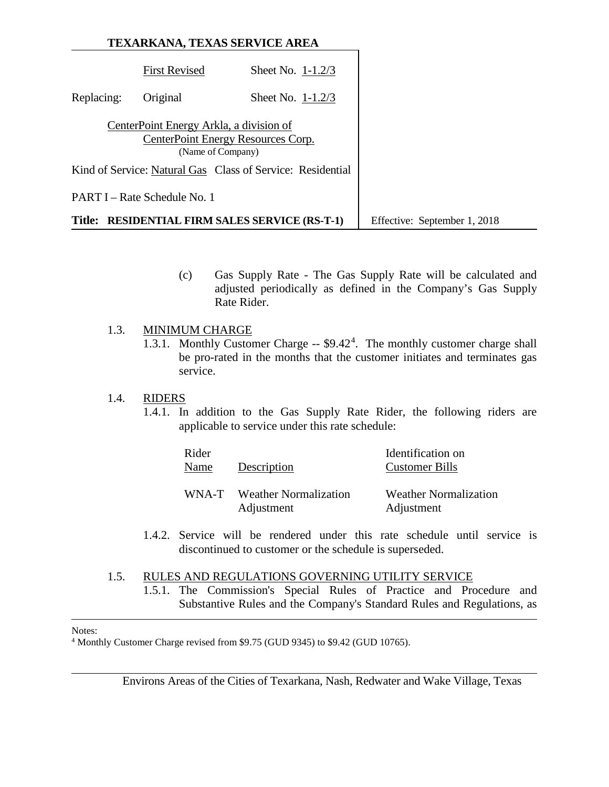|               | TEXARKANA, TEXAS SERVICE AREA                                |                                                            |                              |
|---------------|--------------------------------------------------------------|------------------------------------------------------------|------------------------------|
|               | <b>First Revised</b>                                         | Sheet No. $1-1.2/3$                                        |                              |
| Replacing:    | Original                                                     | Sheet No. $1-1.2/3$                                        |                              |
|               | CenterPoint Energy Arkla, a division of<br>(Name of Company) | CenterPoint Energy Resources Corp.                         |                              |
|               |                                                              | Kind of Service: Natural Gas Class of Service: Residential |                              |
|               | PART I – Rate Schedule No. 1                                 |                                                            |                              |
| <b>Title:</b> |                                                              | <b>RESIDENTIAL FIRM SALES SERVICE (RS-T-1)</b>             | Effective: September 1, 2018 |

(c) Gas Supply Rate - The Gas Supply Rate will be calculated and adjusted periodically as defined in the Company's Gas Supply Rate Rider.

### 1.3. MINIMUM CHARGE

1.3.1. Monthly Customer Charge -- \$9.42[4](#page-1-0) . The monthly customer charge shall be pro-rated in the months that the customer initiates and terminates gas service.

#### 1.4. RIDERS

1.4.1. In addition to the Gas Supply Rate Rider, the following riders are applicable to service under this rate schedule:

| Rider<br>Name | Description                                | Identification on<br><b>Customer Bills</b> |
|---------------|--------------------------------------------|--------------------------------------------|
| WNA-T         | <b>Weather Normalization</b><br>Adjustment | <b>Weather Normalization</b><br>Adjustment |

1.4.2. Service will be rendered under this rate schedule until service is discontinued to customer or the schedule is superseded.

#### 1.5. RULES AND REGULATIONS GOVERNING UTILITY SERVICE 1.5.1. The Commission's Special Rules of Practice and Procedure and Substantive Rules and the Company's Standard Rules and Regulations, as

#### $\overline{a}$ Notes:

<span id="page-1-0"></span><sup>4</sup> Monthly Customer Charge revised from \$9.75 (GUD 9345) to \$9.42 (GUD 10765).

Environs Areas of the Cities of Texarkana, Nash, Redwater and Wake Village, Texas